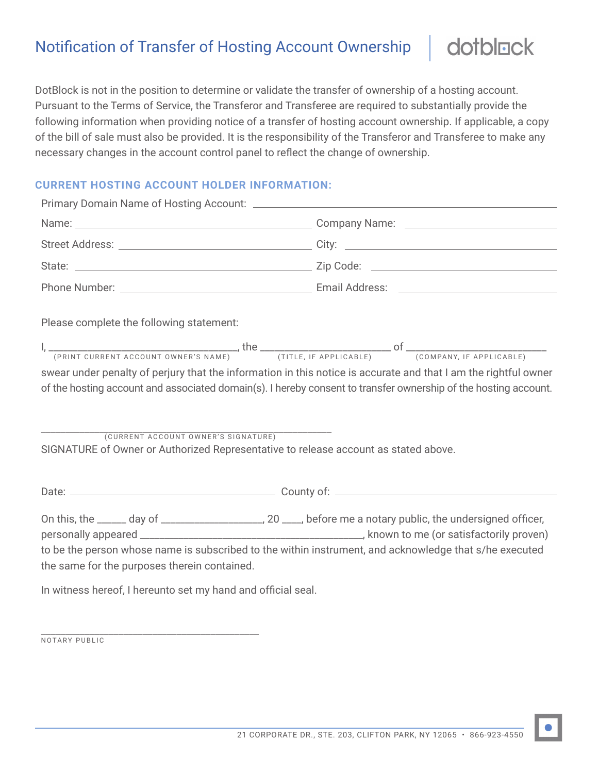## Notification of Transfer of Hosting Account Ownership

DotBlock is not in the position to determine or validate the transfer of ownership of a hosting account. Pursuant to the Terms of Service, the Transferor and Transferee are required to substantially provide the following information when providing notice of a transfer of hosting account ownership. If applicable, a copy of the bill of sale must also be provided. It is the responsibility of the Transferor and Transferee to make any necessary changes in the account control panel to reflect the change of ownership.

## **CURRENT HOSTING ACCOUNT HOLDER INFORMATION:**

| Please complete the following statement:                                                                                                                                                                                                                                                                                                                                   |  |
|----------------------------------------------------------------------------------------------------------------------------------------------------------------------------------------------------------------------------------------------------------------------------------------------------------------------------------------------------------------------------|--|
| $I,$ $\frac{1}{(PRINT CURRENT ACCOUNT OWNER'S NAME)}$ , the $\frac{1}{(TITLE, IFAPPLICABLE)}$ of $\frac{1}{(COMPANY, IFAPPLICABLE)}$<br>swear under penalty of perjury that the information in this notice is accurate and that I am the rightful owner<br>of the hosting account and associated domain(s). I hereby consent to transfer ownership of the hosting account. |  |
| (CURRENT ACCOUNT OWNER'S SIGNATURE)<br>SIGNATURE of Owner or Authorized Representative to release account as stated above.                                                                                                                                                                                                                                                 |  |
|                                                                                                                                                                                                                                                                                                                                                                            |  |
| to be the person whose name is subscribed to the within instrument, and acknowledge that s/he executed<br>the same for the purposes therein contained.                                                                                                                                                                                                                     |  |
| In witness hereof, I hereunto set my hand and official seal.                                                                                                                                                                                                                                                                                                               |  |

\_\_\_\_\_\_\_\_\_\_\_\_\_\_\_\_\_\_\_\_\_\_\_\_\_\_\_\_\_\_\_\_\_\_\_\_\_\_\_\_\_\_\_\_\_ NOTARY PUBLIC